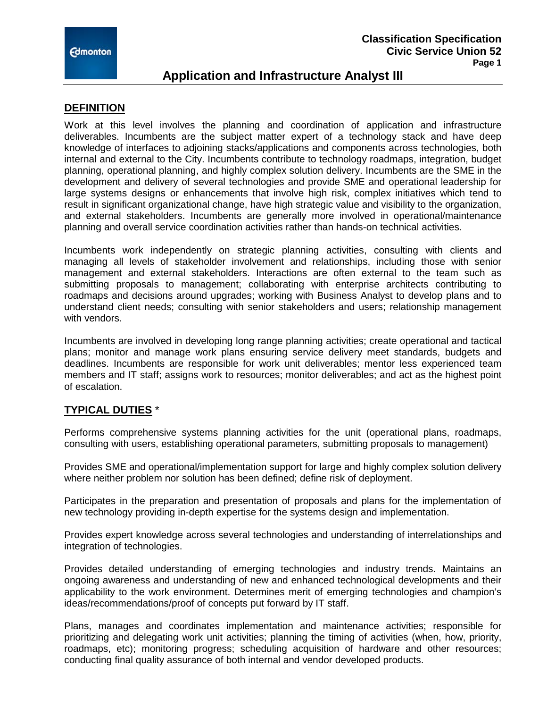

# **Application and Infrastructure Analyst III**

### **DEFINITION**

Work at this level involves the planning and coordination of application and infrastructure deliverables. Incumbents are the subject matter expert of a technology stack and have deep knowledge of interfaces to adjoining stacks/applications and components across technologies, both internal and external to the City. Incumbents contribute to technology roadmaps, integration, budget planning, operational planning, and highly complex solution delivery. Incumbents are the SME in the development and delivery of several technologies and provide SME and operational leadership for large systems designs or enhancements that involve high risk, complex initiatives which tend to result in significant organizational change, have high strategic value and visibility to the organization, and external stakeholders. Incumbents are generally more involved in operational/maintenance planning and overall service coordination activities rather than hands-on technical activities.

Incumbents work independently on strategic planning activities, consulting with clients and managing all levels of stakeholder involvement and relationships, including those with senior management and external stakeholders. Interactions are often external to the team such as submitting proposals to management; collaborating with enterprise architects contributing to roadmaps and decisions around upgrades; working with Business Analyst to develop plans and to understand client needs; consulting with senior stakeholders and users; relationship management with vendors.

Incumbents are involved in developing long range planning activities; create operational and tactical plans; monitor and manage work plans ensuring service delivery meet standards, budgets and deadlines. Incumbents are responsible for work unit deliverables; mentor less experienced team members and IT staff; assigns work to resources; monitor deliverables; and act as the highest point of escalation.

## **TYPICAL DUTIES** \*

Performs comprehensive systems planning activities for the unit (operational plans, roadmaps, consulting with users, establishing operational parameters, submitting proposals to management)

Provides SME and operational/implementation support for large and highly complex solution delivery where neither problem nor solution has been defined; define risk of deployment.

Participates in the preparation and presentation of proposals and plans for the implementation of new technology providing in-depth expertise for the systems design and implementation.

Provides expert knowledge across several technologies and understanding of interrelationships and integration of technologies.

Provides detailed understanding of emerging technologies and industry trends. Maintains an ongoing awareness and understanding of new and enhanced technological developments and their applicability to the work environment. Determines merit of emerging technologies and champion's ideas/recommendations/proof of concepts put forward by IT staff.

Plans, manages and coordinates implementation and maintenance activities; responsible for prioritizing and delegating work unit activities; planning the timing of activities (when, how, priority, roadmaps, etc); monitoring progress; scheduling acquisition of hardware and other resources; conducting final quality assurance of both internal and vendor developed products.